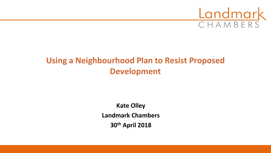

# **Using a Neighbourhood Plan to Resist Proposed Development**

**Kate Olley Landmark Chambers 30th April 2018**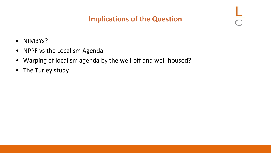## **Implications of the Question**

 $\frac{1}{\sqrt{2}}$ 

- NIMBYs?
- NPPF vs the Localism Agenda
- Warping of localism agenda by the well-off and well-housed?
- The Turley study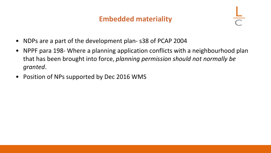#### **Embedded materiality**

- NDPs are a part of the development plan- s38 of PCAP 2004
- NPPF para 198- Where a planning application conflicts with a neighbourhood plan that has been brought into force, *planning permission should not normally be granted*.
- Position of NPs supported by Dec 2016 WMS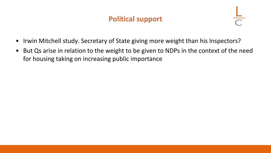## **Political support**

- Irwin Mitchell study. Secretary of State giving more weight than his Inspectors?
- But Qs arise in relation to the weight to be given to NDPs in the context of the need for housing taking on increasing public importance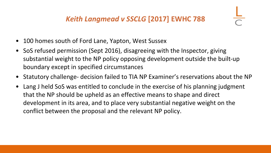- 100 homes south of Ford Lane, Yapton, West Sussex
- SoS refused permission (Sept 2016), disagreeing with the Inspector, giving substantial weight to the NP policy opposing development outside the built-up boundary except in specified circumstances
- Statutory challenge- decision failed to TIA NP Examiner's reservations about the NP
- Lang J held SoS was entitled to conclude in the exercise of his planning judgment that the NP should be upheld as an effective means to shape and direct development in its area, and to place very substantial negative weight on the conflict between the proposal and the relevant NP policy.